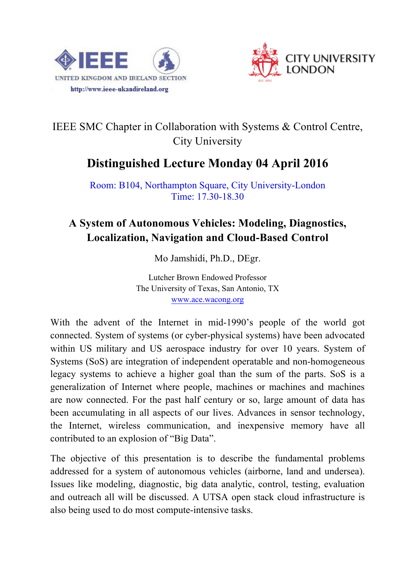



## IEEE SMC Chapter in Collaboration with Systems & Control Centre, City University

## **Distinguished Lecture Monday 04 April 2016**

Room: B104, Northampton Square, City University-London Time: 17.30-18.30

## **A System of Autonomous Vehicles: Modeling, Diagnostics, Localization, Navigation and Cloud-Based Control**

Mo Jamshidi, Ph.D., DEgr.

Lutcher Brown Endowed Professor The University of Texas, San Antonio, TX www.ace.wacong.org

With the advent of the Internet in mid-1990's people of the world got connected. System of systems (or cyber-physical systems) have been advocated within US military and US aerospace industry for over 10 years. System of Systems (SoS) are integration of independent operatable and non-homogeneous legacy systems to achieve a higher goal than the sum of the parts. SoS is a generalization of Internet where people, machines or machines and machines are now connected. For the past half century or so, large amount of data has been accumulating in all aspects of our lives. Advances in sensor technology, the Internet, wireless communication, and inexpensive memory have all contributed to an explosion of "Big Data".

The objective of this presentation is to describe the fundamental problems addressed for a system of autonomous vehicles (airborne, land and undersea). Issues like modeling, diagnostic, big data analytic, control, testing, evaluation and outreach all will be discussed. A UTSA open stack cloud infrastructure is also being used to do most compute-intensive tasks.